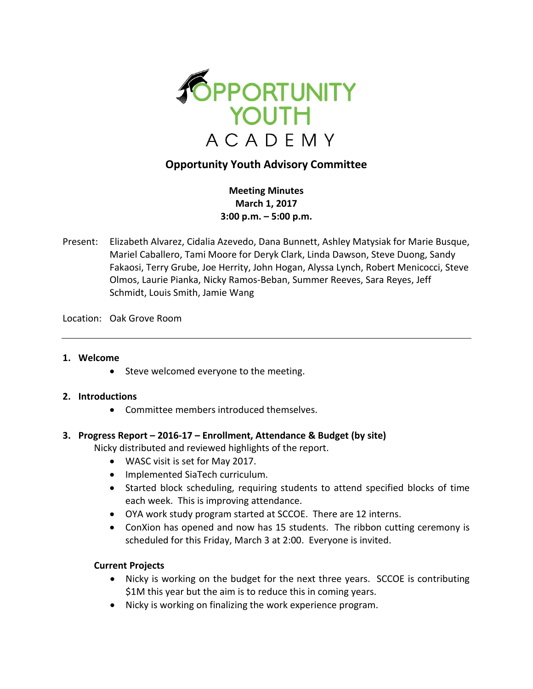

# **Opportunity Youth Advisory Committee**

**Meeting Minutes March 1, 2017 3:00 p.m. – 5:00 p.m.**

Present: Elizabeth Alvarez, Cidalia Azevedo, Dana Bunnett, Ashley Matysiak for Marie Busque, Mariel Caballero, Tami Moore for Deryk Clark, Linda Dawson, Steve Duong, Sandy Fakaosi, Terry Grube, Joe Herrity, John Hogan, Alyssa Lynch, Robert Menicocci, Steve Olmos, Laurie Pianka, Nicky Ramos-Beban, Summer Reeves, Sara Reyes, Jeff Schmidt, Louis Smith, Jamie Wang

Location: Oak Grove Room

### **1. Welcome**

• Steve welcomed everyone to the meeting.

### **2. Introductions**

Committee members introduced themselves.

### **3. Progress Report – 2016-17 – Enrollment, Attendance & Budget (by site)**

Nicky distributed and reviewed highlights of the report.

- WASC visit is set for May 2017.
- Implemented SiaTech curriculum.
- Started block scheduling, requiring students to attend specified blocks of time each week. This is improving attendance.
- OYA work study program started at SCCOE. There are 12 interns.
- ConXion has opened and now has 15 students. The ribbon cutting ceremony is scheduled for this Friday, March 3 at 2:00. Everyone is invited.

### **Current Projects**

- Nicky is working on the budget for the next three years. SCCOE is contributing \$1M this year but the aim is to reduce this in coming years.
- Nicky is working on finalizing the work experience program.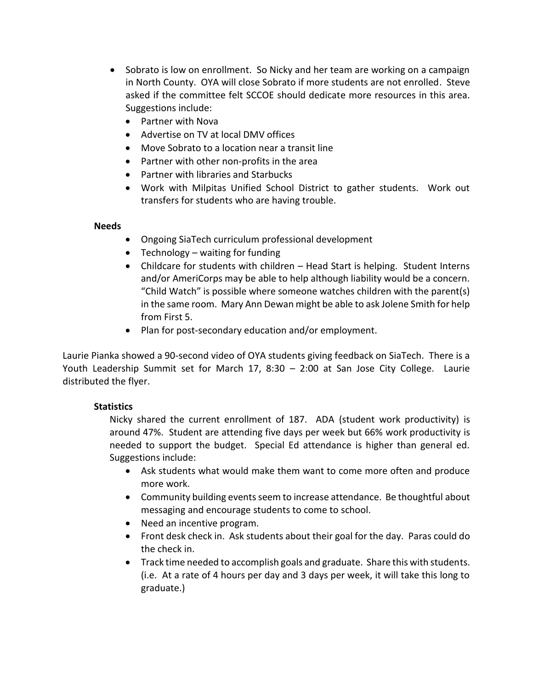- Sobrato is low on enrollment. So Nicky and her team are working on a campaign in North County. OYA will close Sobrato if more students are not enrolled. Steve asked if the committee felt SCCOE should dedicate more resources in this area. Suggestions include:
	- Partner with Nova
	- Advertise on TV at local DMV offices
	- Move Sobrato to a location near a transit line
	- Partner with other non-profits in the area
	- Partner with libraries and Starbucks
	- Work with Milpitas Unified School District to gather students. Work out transfers for students who are having trouble.

### **Needs**

- Ongoing SiaTech curriculum professional development
- Technology waiting for funding
- Childcare for students with children Head Start is helping. Student Interns and/or AmeriCorps may be able to help although liability would be a concern. "Child Watch" is possible where someone watches children with the parent(s) in the same room. Mary Ann Dewan might be able to ask Jolene Smith for help from First 5.
- Plan for post-secondary education and/or employment.

Laurie Pianka showed a 90-second video of OYA students giving feedback on SiaTech. There is a Youth Leadership Summit set for March 17, 8:30 – 2:00 at San Jose City College. Laurie distributed the flyer.

## **Statistics**

Nicky shared the current enrollment of 187. ADA (student work productivity) is around 47%. Student are attending five days per week but 66% work productivity is needed to support the budget. Special Ed attendance is higher than general ed. Suggestions include:

- Ask students what would make them want to come more often and produce more work.
- Community building events seem to increase attendance. Be thoughtful about messaging and encourage students to come to school.
- Need an incentive program.
- Front desk check in. Ask students about their goal for the day. Paras could do the check in.
- Track time needed to accomplish goals and graduate. Share this with students. (i.e. At a rate of 4 hours per day and 3 days per week, it will take this long to graduate.)